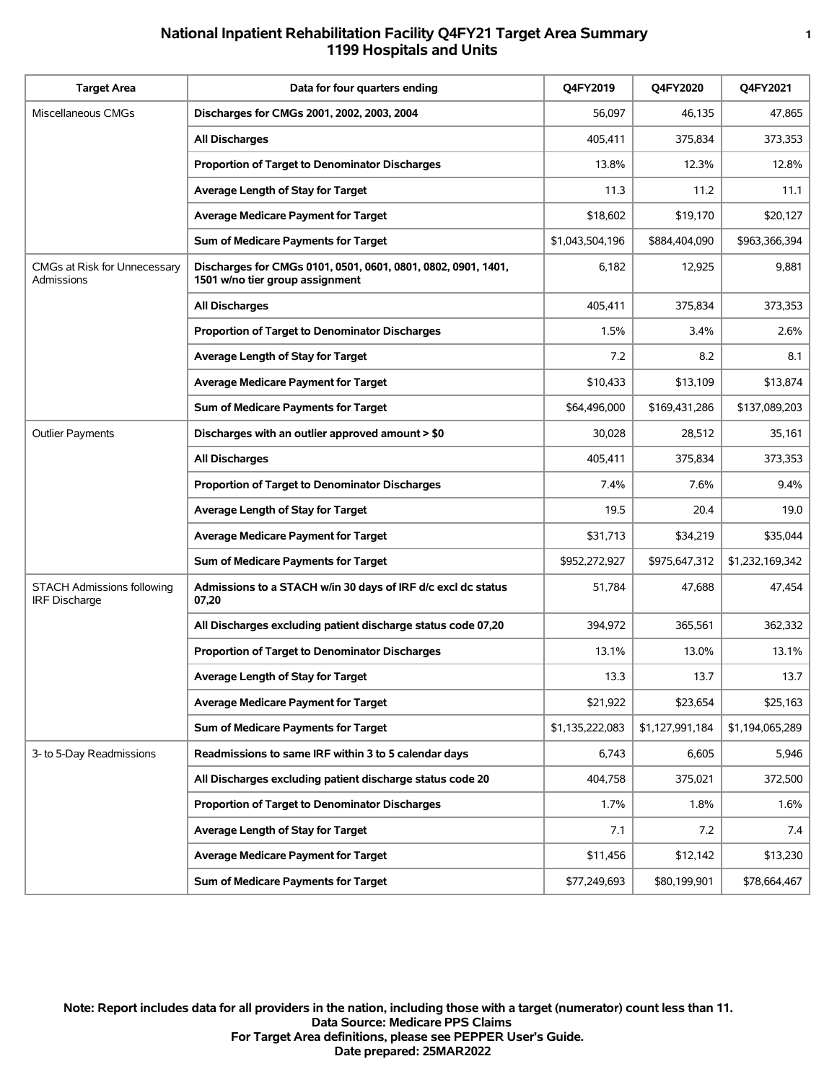# **National Inpatient Rehabilitation Facility Q4FY21 Target Area Summary 1 1199 Hospitals and Units**

| <b>Target Area</b>                                 | Data for four quarters ending                                                                    | Q4FY2019        | Q4FY2020        | <b>Q4FY2021</b> |
|----------------------------------------------------|--------------------------------------------------------------------------------------------------|-----------------|-----------------|-----------------|
| Miscellaneous CMGs                                 | Discharges for CMGs 2001, 2002, 2003, 2004                                                       | 56,097          | 46.135          | 47,865          |
|                                                    | <b>All Discharges</b>                                                                            | 405,411         | 375,834         | 373,353         |
|                                                    | <b>Proportion of Target to Denominator Discharges</b>                                            | 13.8%           | 12.3%           | 12.8%           |
|                                                    | Average Length of Stay for Target                                                                | 11.3            | 11.2            | 11.1            |
|                                                    | <b>Average Medicare Payment for Target</b>                                                       | \$18,602        | \$19,170        | \$20,127        |
|                                                    | Sum of Medicare Payments for Target                                                              | \$1,043,504,196 | \$884,404,090   | \$963,366,394   |
| CMGs at Risk for Unnecessary<br><b>Admissions</b>  | Discharges for CMGs 0101, 0501, 0601, 0801, 0802, 0901, 1401,<br>1501 w/no tier group assignment | 6,182           | 12,925          | 9,881           |
|                                                    | <b>All Discharges</b>                                                                            | 405,411         | 375,834         | 373,353         |
|                                                    | <b>Proportion of Target to Denominator Discharges</b>                                            | 1.5%            | 3.4%            | 2.6%            |
|                                                    | Average Length of Stay for Target                                                                | 7.2             | 8.2             | 8.1             |
|                                                    | <b>Average Medicare Payment for Target</b>                                                       | \$10,433        | \$13,109        | \$13,874        |
|                                                    | Sum of Medicare Payments for Target                                                              | \$64,496,000    | \$169,431,286   | \$137,089,203   |
| <b>Outlier Payments</b>                            | Discharges with an outlier approved amount > \$0                                                 | 30,028          | 28,512          | 35,161          |
|                                                    | <b>All Discharges</b>                                                                            | 405,411         | 375,834         | 373,353         |
|                                                    | Proportion of Target to Denominator Discharges                                                   | 7.4%            | 7.6%            | 9.4%            |
|                                                    | Average Length of Stay for Target                                                                | 19.5            | 20.4            | 19.0            |
|                                                    | <b>Average Medicare Payment for Target</b>                                                       | \$31,713        | \$34,219        | \$35,044        |
|                                                    | Sum of Medicare Payments for Target                                                              | \$952,272,927   | \$975,647,312   | \$1,232,169,342 |
| <b>STACH Admissions following</b><br>IRF Discharge | Admissions to a STACH w/in 30 days of IRF d/c excl dc status<br>07,20                            | 51,784          | 47,688          | 47,454          |
|                                                    | All Discharges excluding patient discharge status code 07,20                                     | 394,972         | 365,561         | 362,332         |
|                                                    | <b>Proportion of Target to Denominator Discharges</b>                                            | 13.1%           | 13.0%           | 13.1%           |
|                                                    | Average Length of Stay for Target                                                                | 13.3            | 13.7            | 13.7            |
|                                                    | <b>Average Medicare Payment for Target</b>                                                       | \$21,922        | \$23,654        | \$25,163        |
|                                                    | Sum of Medicare Payments for Target                                                              | \$1,135,222,083 | \$1,127,991,184 | \$1,194,065,289 |
| 3- to 5-Day Readmissions                           | Readmissions to same IRF within 3 to 5 calendar days                                             | 6,743           | 6,605           | 5,946           |
|                                                    | All Discharges excluding patient discharge status code 20                                        | 404,758         | 375,021         | 372,500         |
|                                                    | Proportion of Target to Denominator Discharges                                                   | 1.7%            | 1.8%            | 1.6%            |
|                                                    | Average Length of Stay for Target                                                                | 7.1             | 7.2             | 7.4             |
|                                                    | <b>Average Medicare Payment for Target</b>                                                       | \$11,456        | \$12,142        | \$13,230        |
|                                                    | Sum of Medicare Payments for Target                                                              | \$77,249,693    | \$80,199,901    | \$78,664,467    |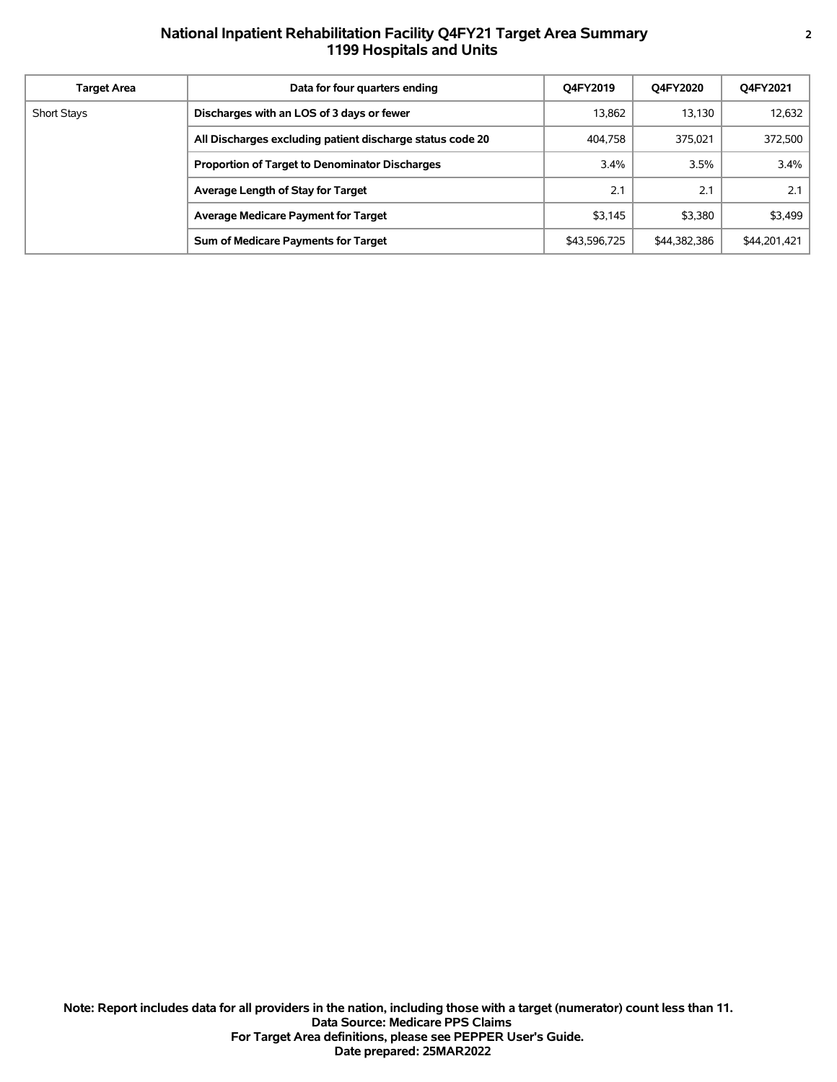## **National Inpatient Rehabilitation Facility Q4FY21 Target Area Summary 2 1199 Hospitals and Units**

| Target Area        | Data for four quarters ending                             | O4FY2019     | O4FY2020     | Q4FY2021     |
|--------------------|-----------------------------------------------------------|--------------|--------------|--------------|
| <b>Short Stays</b> | Discharges with an LOS of 3 days or fewer                 | 13,862       | 13,130       | 12,632       |
|                    | All Discharges excluding patient discharge status code 20 | 404.758      | 375.021      | 372,500      |
|                    | <b>Proportion of Target to Denominator Discharges</b>     | 3.4%         | 3.5%         | $3.4\%$      |
|                    | Average Length of Stay for Target                         | 2.1          | 2.1          | 2.1          |
|                    | <b>Average Medicare Payment for Target</b>                | \$3.145      | \$3.380      | \$3,499      |
|                    | Sum of Medicare Payments for Target                       | \$43,596,725 | \$44,382,386 | \$44,201,421 |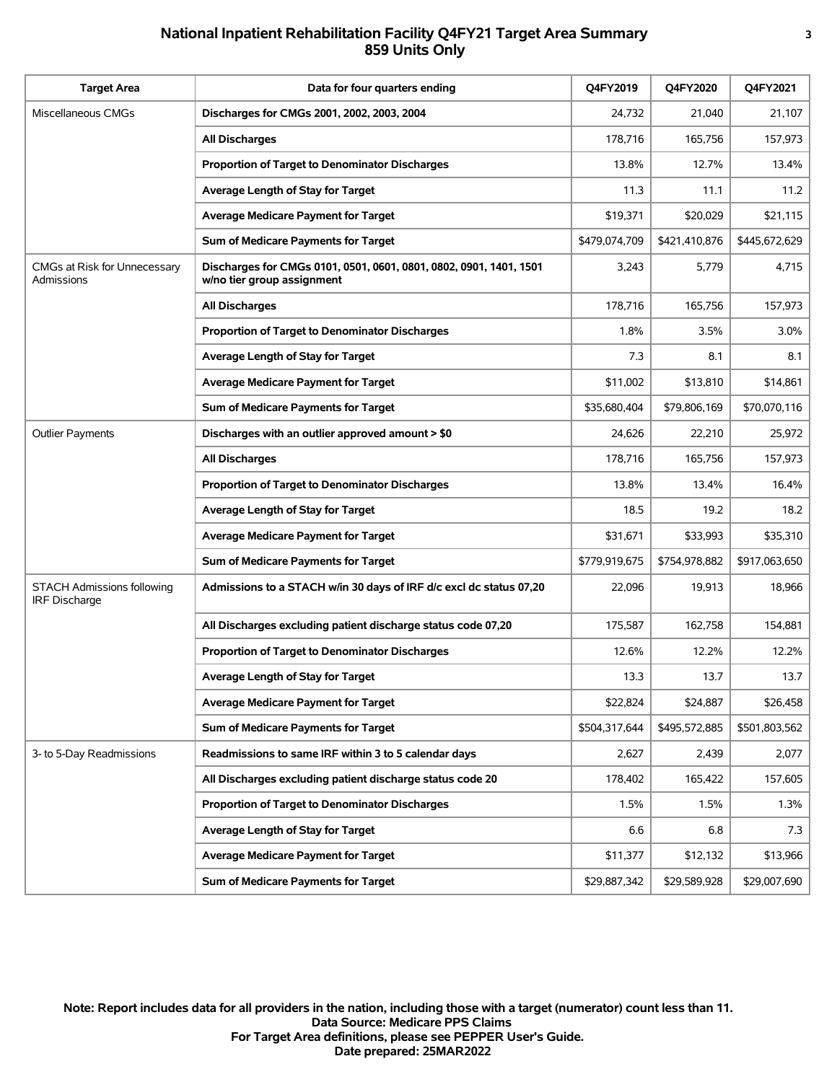# **National Inpatient Rehabilitation Facility Q4FY21 Target Area Summary 3 859 Units Only**

| <b>Target Area</b>                                        | Data for four quarters ending                                                                    | <b>Q4FY2019</b> | <b>Q4FY2020</b> | Q4FY2021      |
|-----------------------------------------------------------|--------------------------------------------------------------------------------------------------|-----------------|-----------------|---------------|
| Miscellaneous CMGs                                        | Discharges for CMGs 2001, 2002, 2003, 2004                                                       | 24,732          | 21.040          | 21,107        |
|                                                           | <b>All Discharges</b>                                                                            | 178,716         | 165,756         | 157,973       |
|                                                           | Proportion of Target to Denominator Discharges                                                   | 13.8%           | 12.7%           | 13.4%         |
|                                                           | Average Length of Stay for Target                                                                | 11.3            | 11.1            | 11.2          |
|                                                           | <b>Average Medicare Payment for Target</b>                                                       | \$19,371        | \$20,029        | \$21,115      |
|                                                           | Sum of Medicare Payments for Target                                                              | \$479,074,709   | \$421,410,876   | \$445,672,629 |
| CMGs at Risk for Unnecessary<br>Admissions                | Discharges for CMGs 0101, 0501, 0601, 0801, 0802, 0901, 1401, 1501<br>w/no tier group assignment | 3,243           | 5,779           | 4,715         |
|                                                           | <b>All Discharges</b>                                                                            | 178,716         | 165,756         | 157,973       |
|                                                           | Proportion of Target to Denominator Discharges                                                   | 1.8%            | 3.5%            | 3.0%          |
|                                                           | Average Length of Stay for Target                                                                | 7.3             | 8.1             | 8.1           |
|                                                           | <b>Average Medicare Payment for Target</b>                                                       | \$11,002        | \$13,810        | \$14,861      |
|                                                           | Sum of Medicare Payments for Target                                                              | \$35,680,404    | \$79,806,169    | \$70,070,116  |
| <b>Outlier Payments</b>                                   | Discharges with an outlier approved amount > \$0                                                 | 24,626          | 22,210          | 25,972        |
|                                                           | <b>All Discharges</b>                                                                            | 178,716         | 165,756         | 157,973       |
|                                                           | Proportion of Target to Denominator Discharges                                                   | 13.8%           | 13.4%           | 16.4%         |
|                                                           | Average Length of Stay for Target                                                                | 18.5            | 19.2            | 18.2          |
|                                                           | <b>Average Medicare Payment for Target</b>                                                       | \$31,671        | \$33,993        | \$35,310      |
|                                                           | Sum of Medicare Payments for Target                                                              | \$779,919,675   | \$754,978,882   | \$917,063,650 |
| <b>STACH Admissions following</b><br><b>IRF Discharge</b> | Admissions to a STACH w/in 30 days of IRF d/c excl dc status 07,20                               | 22,096          | 19,913          | 18,966        |
|                                                           | All Discharges excluding patient discharge status code 07,20                                     | 175,587         | 162.758         | 154,881       |
|                                                           | Proportion of Target to Denominator Discharges                                                   | 12.6%           | 12.2%           | 12.2%         |
|                                                           | <b>Average Length of Stay for Target</b>                                                         | 13.3            | 13.7            | 13.7          |
|                                                           | <b>Average Medicare Payment for Target</b>                                                       | \$22,824        | \$24,887        | \$26,458      |
|                                                           | Sum of Medicare Payments for Target                                                              | \$504,317,644   | \$495,572,885   | \$501,803,562 |
| 3- to 5-Day Readmissions                                  | Readmissions to same IRF within 3 to 5 calendar days                                             | 2,627           | 2,439           | 2,077         |
|                                                           | All Discharges excluding patient discharge status code 20                                        | 178,402         | 165,422         | 157,605       |
|                                                           | Proportion of Target to Denominator Discharges                                                   | 1.5%            | 1.5%            | 1.3%          |
|                                                           | Average Length of Stay for Target                                                                | 6.6             | 6.8             | 7.3           |
|                                                           | <b>Average Medicare Payment for Target</b>                                                       | \$11,377        | \$12,132        | \$13,966      |
|                                                           | Sum of Medicare Payments for Target                                                              | \$29,887,342    | \$29,589,928    | \$29,007,690  |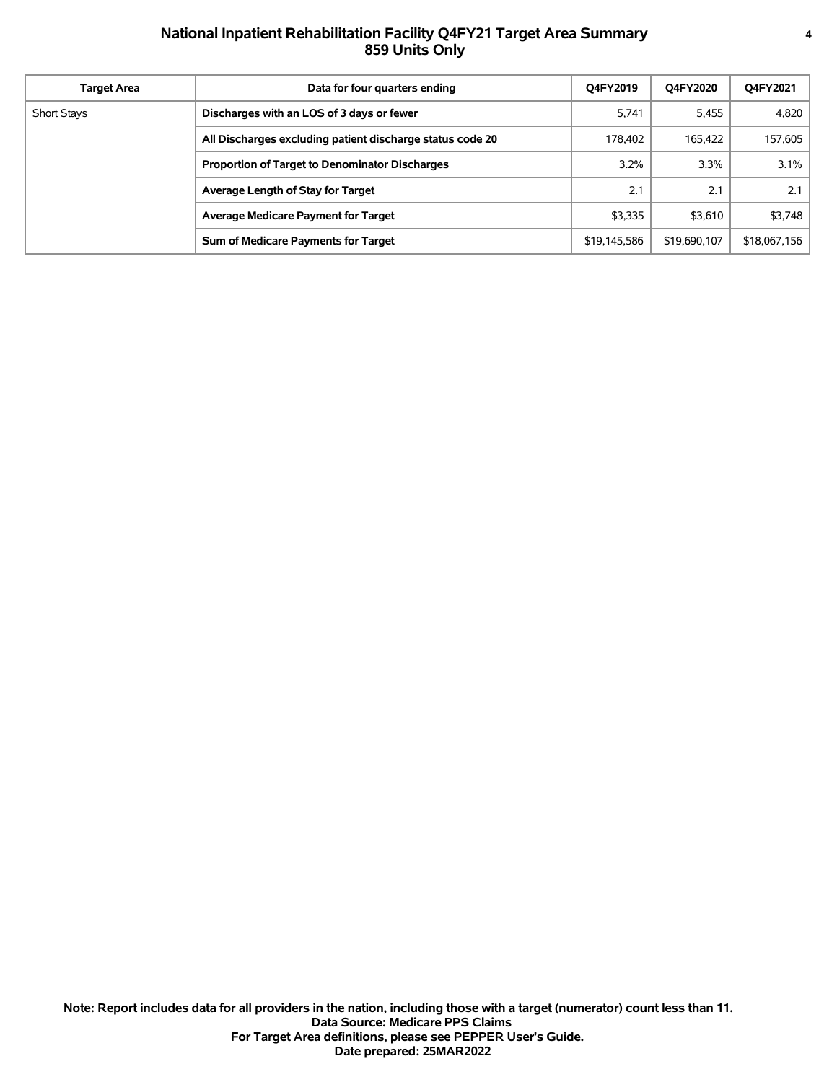## **National Inpatient Rehabilitation Facility Q4FY21 Target Area Summary 4 859 Units Only**

| <b>Target Area</b> | Data for four quarters ending                             | O4FY2019     | O4FY2020     | Q4FY2021     |
|--------------------|-----------------------------------------------------------|--------------|--------------|--------------|
| <b>Short Stays</b> | Discharges with an LOS of 3 days or fewer                 | 5.741        | 5,455        | 4,820        |
|                    | All Discharges excluding patient discharge status code 20 | 178,402      | 165,422      | 157,605      |
|                    | <b>Proportion of Target to Denominator Discharges</b>     | 3.2%         | 3.3%         | $3.1\%$      |
|                    | Average Length of Stay for Target                         | 2.1          | 2.1          | 2.1          |
|                    | <b>Average Medicare Payment for Target</b>                | \$3,335      | \$3,610      | \$3,748      |
|                    | Sum of Medicare Payments for Target                       | \$19,145,586 | \$19,690,107 | \$18,067,156 |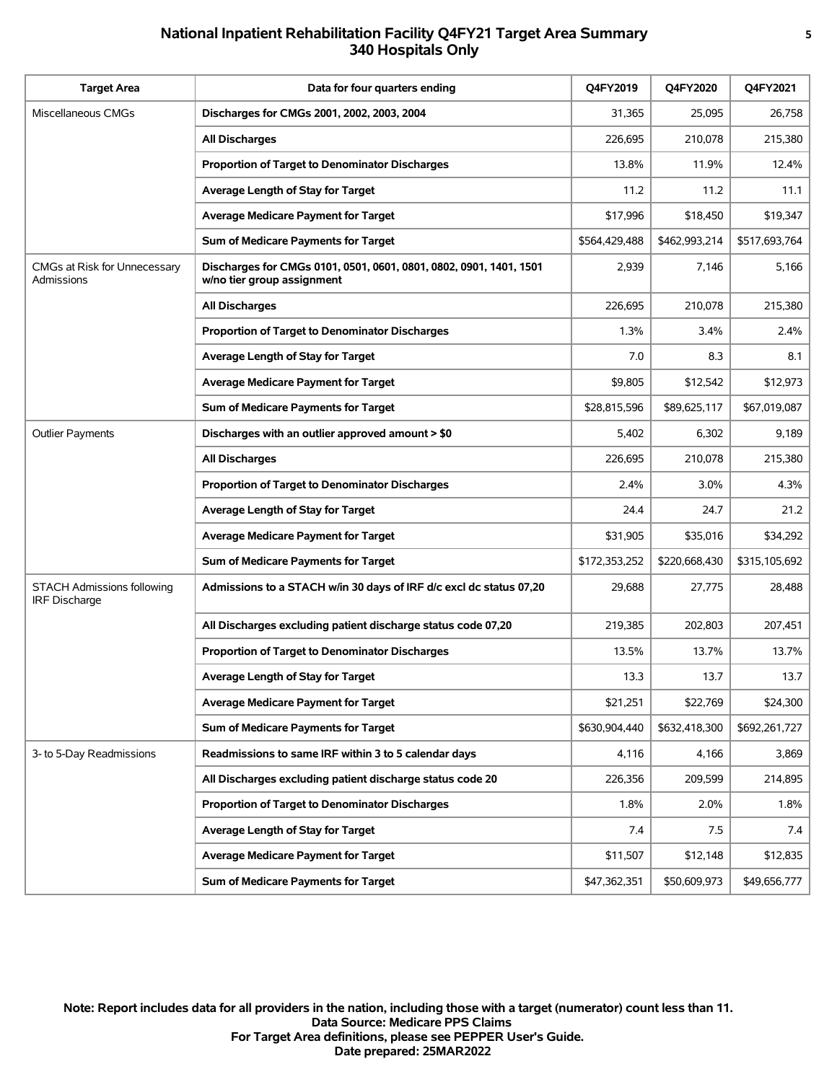# **National Inpatient Rehabilitation Facility Q4FY21 Target Area Summary 5 340 Hospitals Only**

| <b>Target Area</b>                                 | Data for four quarters ending                                                                    | <b>Q4FY2019</b> | <b>Q4FY2020</b> | Q4FY2021      |
|----------------------------------------------------|--------------------------------------------------------------------------------------------------|-----------------|-----------------|---------------|
| Miscellaneous CMGs                                 | Discharges for CMGs 2001, 2002, 2003, 2004                                                       | 31,365          | 25,095          | 26,758        |
|                                                    | <b>All Discharges</b>                                                                            | 226,695         | 210,078         | 215,380       |
|                                                    | <b>Proportion of Target to Denominator Discharges</b>                                            | 13.8%           | 11.9%           | 12.4%         |
|                                                    | Average Length of Stay for Target                                                                | 11.2            | 11.2            | 11.1          |
|                                                    | <b>Average Medicare Payment for Target</b>                                                       | \$17,996        | \$18,450        | \$19,347      |
|                                                    | Sum of Medicare Payments for Target                                                              | \$564,429,488   | \$462,993,214   | \$517,693,764 |
| CMGs at Risk for Unnecessary<br>Admissions         | Discharges for CMGs 0101, 0501, 0601, 0801, 0802, 0901, 1401, 1501<br>w/no tier group assignment | 2,939           | 7,146           | 5,166         |
|                                                    | <b>All Discharges</b>                                                                            | 226,695         | 210,078         | 215,380       |
|                                                    | <b>Proportion of Target to Denominator Discharges</b>                                            | 1.3%            | 3.4%            | 2.4%          |
|                                                    | Average Length of Stay for Target                                                                | 7.0             | 8.3             | 8.1           |
|                                                    | <b>Average Medicare Payment for Target</b>                                                       | \$9,805         | \$12,542        | \$12,973      |
|                                                    | Sum of Medicare Payments for Target                                                              | \$28,815,596    | \$89,625,117    | \$67,019,087  |
| <b>Outlier Payments</b>                            | Discharges with an outlier approved amount > \$0                                                 | 5,402           | 6,302           | 9,189         |
|                                                    | <b>All Discharges</b>                                                                            | 226,695         | 210.078         | 215,380       |
|                                                    | Proportion of Target to Denominator Discharges                                                   | 2.4%            | 3.0%            | 4.3%          |
|                                                    | Average Length of Stay for Target                                                                | 24.4            | 24.7            | 21.2          |
|                                                    | <b>Average Medicare Payment for Target</b>                                                       | \$31,905        | \$35,016        | \$34,292      |
|                                                    | Sum of Medicare Payments for Target                                                              | \$172,353,252   | \$220,668,430   | \$315,105,692 |
| <b>STACH Admissions following</b><br>IRF Discharge | Admissions to a STACH w/in 30 days of IRF d/c excl dc status 07,20                               | 29,688          | 27,775          | 28,488        |
|                                                    | All Discharges excluding patient discharge status code 07,20                                     | 219,385         | 202,803         | 207,451       |
|                                                    | Proportion of Target to Denominator Discharges                                                   | 13.5%           | 13.7%           | 13.7%         |
|                                                    | Average Length of Stay for Target                                                                | 13.3            | 13.7            | 13.7          |
|                                                    | <b>Average Medicare Payment for Target</b>                                                       | \$21,251        | \$22,769        | \$24,300      |
|                                                    | Sum of Medicare Payments for Target                                                              | \$630,904,440   | \$632,418,300   | \$692,261,727 |
| 3- to 5-Day Readmissions                           | Readmissions to same IRF within 3 to 5 calendar days                                             | 4,116           | 4,166           | 3,869         |
|                                                    | All Discharges excluding patient discharge status code 20                                        | 226,356         | 209,599         | 214,895       |
|                                                    | Proportion of Target to Denominator Discharges                                                   | 1.8%            | 2.0%            | 1.8%          |
|                                                    | Average Length of Stay for Target                                                                | 7.4             | 7.5             | 7.4           |
|                                                    | <b>Average Medicare Payment for Target</b>                                                       | \$11,507        | \$12,148        | \$12,835      |
|                                                    | Sum of Medicare Payments for Target                                                              | \$47,362,351    | \$50,609,973    | \$49,656,777  |

**Date prepared: 25MAR2022 For Target Area definitions, please see PEPPER User's Guide. Data Source: Medicare PPS Claims Note: Report includes data for all providers in the nation, including those with a target (numerator) count less than 11.**